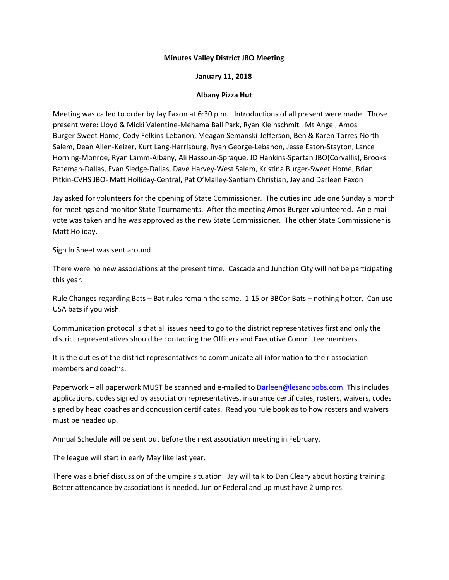## **Minutes Valley District JBO Meeting**

## **January 11, 2018**

## **Albany Pizza Hut**

Meeting was called to order by Jay Faxon at 6:30 p.m. Introductions of all present were made. Those present were: Lloyd & Micki Valentine-Mehama Ball Park, Ryan Kleinschmit –Mt Angel, Amos Burger-Sweet Home, Cody Felkins-Lebanon, Meagan Semanski-Jefferson, Ben & Karen Torres-North Salem, Dean Allen-Keizer, Kurt Lang-Harrisburg, Ryan George-Lebanon, Jesse Eaton-Stayton, Lance Horning-Monroe, Ryan Lamm-Albany, Ali Hassoun-Spraque, JD Hankins-Spartan JBO(Corvallis), Brooks Bateman-Dallas, Evan Sledge-Dallas, Dave Harvey-West Salem, Kristina Burger-Sweet Home, Brian Pitkin-CVHS JBO- Matt Holliday-Central, Pat O'Malley-Santiam Christian, Jay and Darleen Faxon

Jay asked for volunteers for the opening of State Commissioner. The duties include one Sunday a month for meetings and monitor State Tournaments. After the meeting Amos Burger volunteered. An e-mail vote was taken and he was approved as the new State Commissioner. The other State Commissioner is Matt Holiday.

Sign In Sheet was sent around

There were no new associations at the present time. Cascade and Junction City will not be participating this year.

Rule Changes regarding Bats – Bat rules remain the same. 1.15 or BBCor Bats – nothing hotter. Can use USA bats if you wish.

Communication protocol is that all issues need to go to the district representatives first and only the district representatives should be contacting the Officers and Executive Committee members.

It is the duties of the district representatives to communicate all information to their association members and coach's.

Paperwork – all paperwork MUST be scanned and e-mailed to [Darleen@lesandbobs.com.](mailto:Darleen@lesandbobs.com) This includes applications, codes signed by association representatives, insurance certificates, rosters, waivers, codes signed by head coaches and concussion certificates. Read you rule book as to how rosters and waivers must be headed up.

Annual Schedule will be sent out before the next association meeting in February.

The league will start in early May like last year.

There was a brief discussion of the umpire situation. Jay will talk to Dan Cleary about hosting training. Better attendance by associations is needed. Junior Federal and up must have 2 umpires.